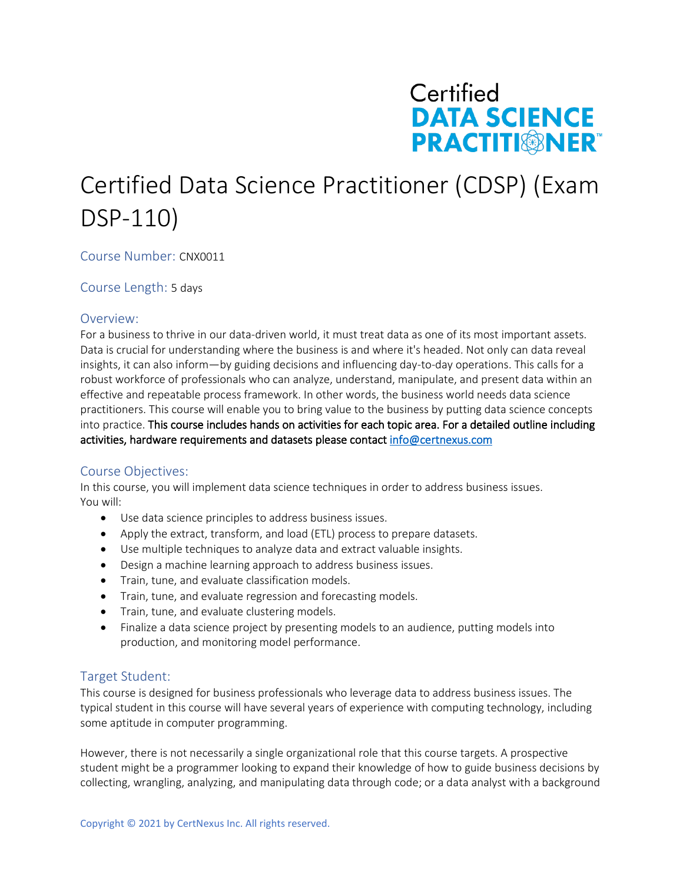

# Certified Data Science Practitioner (CDSP) (Exam DSP-110)

## Course Number: CNX0011

Course Length: 5 days

## Overview:

For a business to thrive in our data-driven world, it must treat data as one of its most important assets. Data is crucial for understanding where the business is and where it's headed. Not only can data reveal insights, it can also inform—by guiding decisions and influencing day-to-day operations. This calls for a robust workforce of professionals who can analyze, understand, manipulate, and present data within an effective and repeatable process framework. In other words, the business world needs data science practitioners. This course will enable you to bring value to the business by putting data science concepts into practice. This course includes hands on activities for each topic area. For a detailed outline including activities, hardware requirements and datasets please contact info@certnexus.com

## Course Objectives:

In this course, you will implement data science techniques in order to address business issues. You will:

- Use data science principles to address business issues.
- Apply the extract, transform, and load (ETL) process to prepare datasets.
- Use multiple techniques to analyze data and extract valuable insights.
- Design a machine learning approach to address business issues.
- Train, tune, and evaluate classification models.
- Train, tune, and evaluate regression and forecasting models.
- Train, tune, and evaluate clustering models.
- Finalize a data science project by presenting models to an audience, putting models into production, and monitoring model performance.

## Target Student:

This course is designed for business professionals who leverage data to address business issues. The typical student in this course will have several years of experience with computing technology, including some aptitude in computer programming.

However, there is not necessarily a single organizational role that this course targets. A prospective student might be a programmer looking to expand their knowledge of how to guide business decisions by collecting, wrangling, analyzing, and manipulating data through code; or a data analyst with a background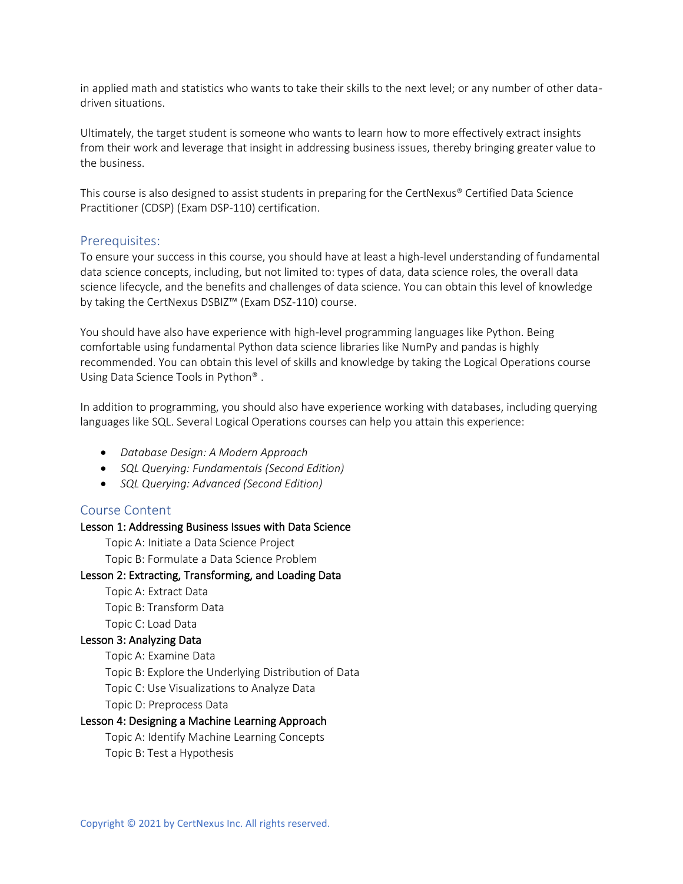in applied math and statistics who wants to take their skills to the next level; or any number of other datadriven situations.

Ultimately, the target student is someone who wants to learn how to more effectively extract insights from their work and leverage that insight in addressing business issues, thereby bringing greater value to the business.

This course is also designed to assist students in preparing for the CertNexus® Certified Data Science Practitioner (CDSP) (Exam DSP-110) certification.

## Prerequisites:

To ensure your success in this course, you should have at least a high-level understanding of fundamental data science concepts, including, but not limited to: types of data, data science roles, the overall data science lifecycle, and the benefits and challenges of data science. You can obtain this level of knowledge by taking the CertNexus DSBIZ™ (Exam DSZ-110) course.

You should have also have experience with high-level programming languages like Python. Being comfortable using fundamental Python data science libraries like NumPy and pandas is highly recommended. You can obtain this level of skills and knowledge by taking the Logical Operations course Using Data Science Tools in Python® .

In addition to programming, you should also have experience working with databases, including querying languages like SQL. Several Logical Operations courses can help you attain this experience:

- *Database Design: A Modern Approach*
- *SQL Querying: Fundamentals (Second Edition)*
- *SQL Querying: Advanced (Second Edition)*

#### Course Content

#### Lesson 1: Addressing Business Issues with Data Science

Topic A: Initiate a Data Science Project

Topic B: Formulate a Data Science Problem

#### Lesson 2: Extracting, Transforming, and Loading Data

Topic A: Extract Data Topic B: Transform Data

Topic C: Load Data

#### Lesson 3: Analyzing Data

Topic A: Examine Data

Topic B: Explore the Underlying Distribution of Data

Topic C: Use Visualizations to Analyze Data

Topic D: Preprocess Data

#### Lesson 4: Designing a Machine Learning Approach

Topic A: Identify Machine Learning Concepts Topic B: Test a Hypothesis